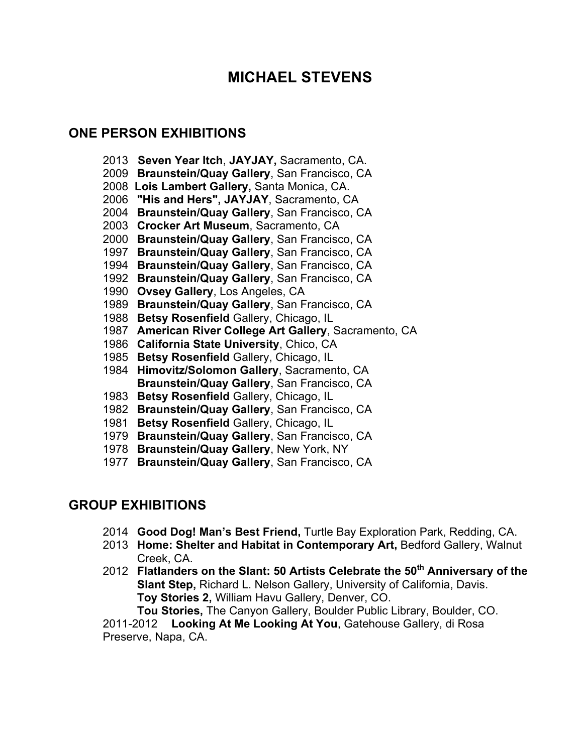# **MICHAEL STEVENS**

# **ONE PERSON EXHIBITIONS**

- **Seven Year Itch**, **JAYJAY,** Sacramento, CA.
- **Braunstein/Quay Gallery**, San Francisco, CA
- **Lois Lambert Gallery,** Santa Monica, CA.
- **"His and Hers", JAYJAY**, Sacramento, CA
- **Braunstein/Quay Gallery**, San Francisco, CA
- **Crocker Art Museum**, Sacramento, CA
- **Braunstein/Quay Gallery**, San Francisco, CA
- **Braunstein/Quay Gallery**, San Francisco, CA
- **Braunstein/Quay Gallery**, San Francisco, CA
- **Braunstein/Quay Gallery**, San Francisco, CA
- **Ovsey Gallery**, Los Angeles, CA
- **Braunstein/Quay Gallery**, San Francisco, CA
- **Betsy Rosenfield** Gallery, Chicago, IL
- **American River College Art Gallery**, Sacramento, CA
- **California State University**, Chico, CA
- **Betsy Rosenfield** Gallery, Chicago, IL
- **Himovitz/Solomon Gallery**, Sacramento, CA **Braunstein/Quay Gallery**, San Francisco, CA
- **Betsy Rosenfield** Gallery, Chicago, IL
- **Braunstein/Quay Gallery**, San Francisco, CA
- **Betsy Rosenfield** Gallery, Chicago, IL
- **Braunstein/Quay Gallery**, San Francisco, CA
- **Braunstein/Quay Gallery**, New York, NY
- **Braunstein/Quay Gallery**, San Francisco, CA

# **GROUP EXHIBITIONS**

- **Good Dog! Man's Best Friend,** Turtle Bay Exploration Park, Redding, CA.
- **Home: Shelter and Habitat in Contemporary Art,** Bedford Gallery, Walnut Creek, CA.
- **Flatlanders on the Slant: 50 Artists Celebrate the 50th Anniversary of the Slant Step,** Richard L. Nelson Gallery, University of California, Davis. **Toy Stories 2,** William Havu Gallery, Denver, CO. **Tou Stories,** The Canyon Gallery, Boulder Public Library, Boulder, CO.

2011-2012 **Looking At Me Looking At You**, Gatehouse Gallery, di Rosa Preserve, Napa, CA.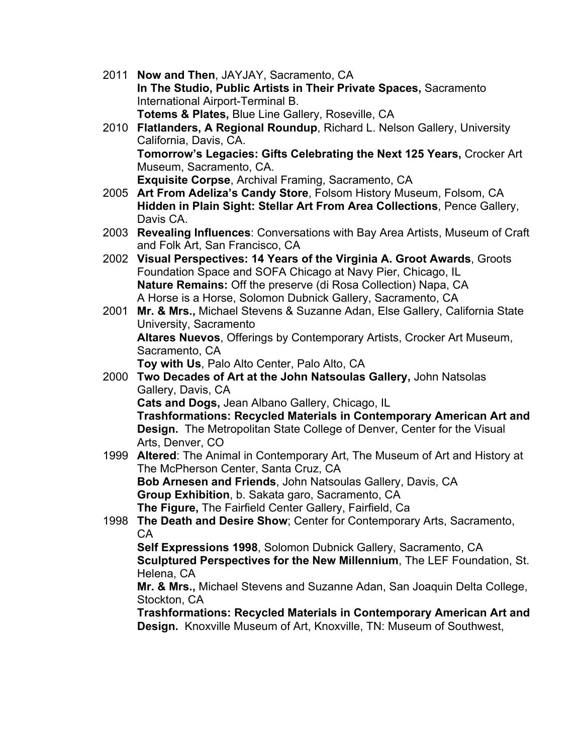- 2011 **Now and Then**, JAYJAY, Sacramento, CA **In The Studio, Public Artists in Their Private Spaces,** Sacramento International Airport-Terminal B. **Totems & Plates,** Blue Line Gallery, Roseville, CA
- 2010 **Flatlanders, A Regional Roundup**, Richard L. Nelson Gallery, University California, Davis, CA. **Tomorrow's Legacies: Gifts Celebrating the Next 125 Years,** Crocker Art Museum, Sacramento, CA. **Exquisite Corpse**, Archival Framing, Sacramento, CA
- 2005 **Art From Adeliza's Candy Store**, Folsom History Museum, Folsom, CA **Hidden in Plain Sight: Stellar Art From Area Collections**, Pence Gallery, Davis CA.
- 2003 **Revealing Influences**: Conversations with Bay Area Artists, Museum of Craft and Folk Art, San Francisco, CA
- 2002 **Visual Perspectives: 14 Years of the Virginia A. Groot Awards**, Groots Foundation Space and SOFA Chicago at Navy Pier, Chicago, IL **Nature Remains:** Off the preserve (di Rosa Collection) Napa, CA A Horse is a Horse, Solomon Dubnick Gallery, Sacramento, CA
- 2001 **Mr. & Mrs.,** Michael Stevens & Suzanne Adan, Else Gallery, California State University, Sacramento **Altares Nuevos**, Offerings by Contemporary Artists, Crocker Art Museum, Sacramento, CA **Toy with Us**, Palo Alto Center, Palo Alto, CA
- 2000 **Two Decades of Art at the John Natsoulas Gallery,** John Natsolas Gallery, Davis, CA **Cats and Dogs,** Jean Albano Gallery, Chicago, IL

**Trashformations: Recycled Materials in Contemporary American Art and Design.** The Metropolitan State College of Denver, Center for the Visual Arts, Denver, CO

1999 **Altered**: The Animal in Contemporary Art, The Museum of Art and History at The McPherson Center, Santa Cruz, CA

**Bob Arnesen and Friends**, John Natsoulas Gallery, Davis, CA **Group Exhibition**, b. Sakata garo, Sacramento, CA **The Figure,** The Fairfield Center Gallery, Fairfield, Ca

1998 **The Death and Desire Show**; Center for Contemporary Arts, Sacramento,  $CA$ 

**Self Expressions 1998**, Solomon Dubnick Gallery, Sacramento, CA **Sculptured Perspectives for the New Millennium**, The LEF Foundation, St. Helena, CA

**Mr. & Mrs.,** Michael Stevens and Suzanne Adan, San Joaquin Delta College, Stockton, CA

**Trashformations: Recycled Materials in Contemporary American Art and Design.** Knoxville Museum of Art, Knoxville, TN: Museum of Southwest,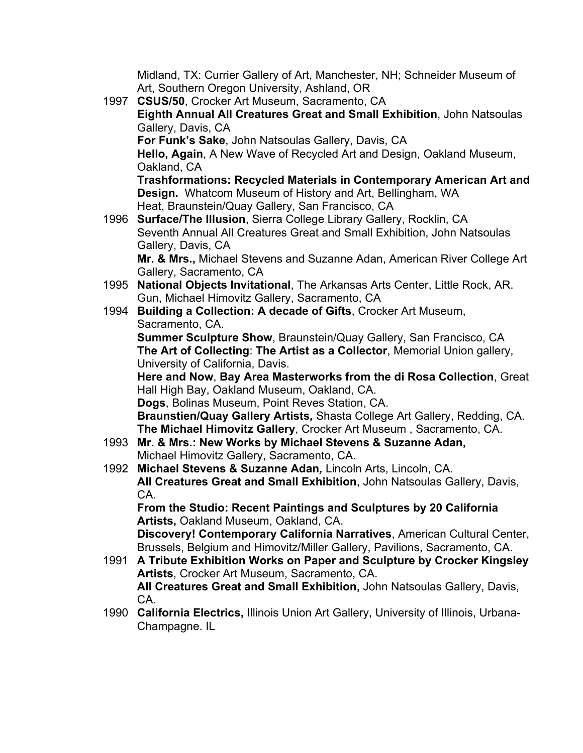Midland, TX: Currier Gallery of Art, Manchester, NH; Schneider Museum of Art, Southern Oregon University, Ashland, OR

1997 **CSUS/50**, Crocker Art Museum, Sacramento, CA **Eighth Annual All Creatures Great and Small Exhibition**, John Natsoulas Gallery, Davis, CA **For Funk's Sake**, John Natsoulas Gallery, Davis, CA **Hello, Again**, A New Wave of Recycled Art and Design, Oakland Museum, Oakland, CA **Trashformations: Recycled Materials in Contemporary American Art and Design.** Whatcom Museum of History and Art, Bellingham, WA Heat, Braunstein/Quay Gallery, San Francisco, CA 1996 **Surface/The Illusion**, Sierra College Library Gallery, Rocklin, CA Seventh Annual All Creatures Great and Small Exhibition, John Natsoulas Gallery, Davis, CA **Mr. & Mrs.,** Michael Stevens and Suzanne Adan, American River College Art Gallery, Sacramento, CA 1995 **National Objects Invitational**, The Arkansas Arts Center, Little Rock, AR. Gun, Michael Himovitz Gallery, Sacramento, CA 1994 **Building a Collection: A decade of Gifts**, Crocker Art Museum, Sacramento, CA. **Summer Sculpture Show**, Braunstein/Quay Gallery, San Francisco, CA **The Art of Collecting**: **The Artist as a Collector**, Memorial Union gallery, University of California, Davis. **Here and Now**, **Bay Area Masterworks from the di Rosa Collection**, Great Hall High Bay, Oakland Museum, Oakland, CA. **Dogs**, Bolinas Museum, Point Reves Station, CA. **Braunstien/Quay Gallery Artists***,* Shasta College Art Gallery, Redding, CA. **The Michael Himovitz Gallery**, Crocker Art Museum , Sacramento, CA. 1993 **Mr. & Mrs.: New Works by Michael Stevens & Suzanne Adan,** Michael Himovitz Gallery, Sacramento, CA. 1992 **Michael Stevens & Suzanne Adan***,* Lincoln Arts, Lincoln, CA. **All Creatures Great and Small Exhibition**, John Natsoulas Gallery, Davis, CA. **From the Studio: Recent Paintings and Sculptures by 20 California Artists,** Oakland Museum, Oakland, CA.

**Discovery! Contemporary California Narratives**, American Cultural Center, Brussels, Belgium and Himovitz/Miller Gallery, Pavilions, Sacramento, CA.

- 1991 **A Tribute Exhibition Works on Paper and Sculpture by Crocker Kingsley Artists**, Crocker Art Museum, Sacramento, CA. **All Creatures Great and Small Exhibition,** John Natsoulas Gallery, Davis, CA.
- 1990 **California Electrics,** Illinois Union Art Gallery, University of Illinois, Urbana-Champagne. IL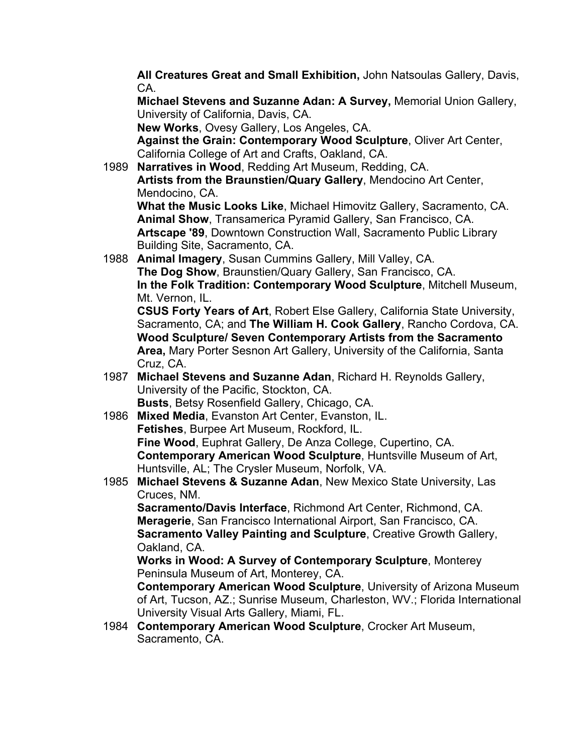**All Creatures Great and Small Exhibition,** John Natsoulas Gallery, Davis, CA.

**Michael Stevens and Suzanne Adan: A Survey,** Memorial Union Gallery, University of California, Davis, CA.

**New Works**, Ovesy Gallery, Los Angeles, CA.

**Against the Grain: Contemporary Wood Sculpture**, Oliver Art Center, California College of Art and Crafts, Oakland, CA.

1989 **Narratives in Wood**, Redding Art Museum, Redding, CA. **Artists from the Braunstien/Quary Gallery**, Mendocino Art Center, Mendocino, CA.

**What the Music Looks Like**, Michael Himovitz Gallery, Sacramento, CA. **Animal Show**, Transamerica Pyramid Gallery, San Francisco, CA. **Artscape '89**, Downtown Construction Wall, Sacramento Public Library Building Site, Sacramento, CA.

1988 **Animal Imagery**, Susan Cummins Gallery, Mill Valley, CA. **The Dog Show**, Braunstien/Quary Gallery, San Francisco, CA. **In the Folk Tradition: Contemporary Wood Sculpture**, Mitchell Museum, Mt. Vernon, IL.

**CSUS Forty Years of Art**, Robert Else Gallery, California State University, Sacramento, CA; and **The William H. Cook Gallery**, Rancho Cordova, CA. **Wood Sculpture/ Seven Contemporary Artists from the Sacramento Area,** Mary Porter Sesnon Art Gallery, University of the California, Santa Cruz, CA.

- 1987 **Michael Stevens and Suzanne Adan**, Richard H. Reynolds Gallery, University of the Pacific, Stockton, CA. **Busts**, Betsy Rosenfield Gallery, Chicago, CA.
- 1986 **Mixed Media**, Evanston Art Center, Evanston, IL. **Fetishes**, Burpee Art Museum, Rockford, IL. **Fine Wood**, Euphrat Gallery, De Anza College, Cupertino, CA. **Contemporary American Wood Sculpture**, Huntsville Museum of Art, Huntsville, AL; The Crysler Museum, Norfolk, VA.
- 1985 **Michael Stevens & Suzanne Adan**, New Mexico State University, Las Cruces, NM.

**Sacramento/Davis Interface**, Richmond Art Center, Richmond, CA. **Meragerie**, San Francisco International Airport, San Francisco, CA. **Sacramento Valley Painting and Sculpture**, Creative Growth Gallery, Oakland, CA.

**Works in Wood: A Survey of Contemporary Sculpture**, Monterey Peninsula Museum of Art, Monterey, CA.

**Contemporary American Wood Sculpture**, University of Arizona Museum of Art, Tucson, AZ.; Sunrise Museum, Charleston, WV.; Florida International University Visual Arts Gallery, Miami, FL.

1984 **Contemporary American Wood Sculpture**, Crocker Art Museum, Sacramento, CA.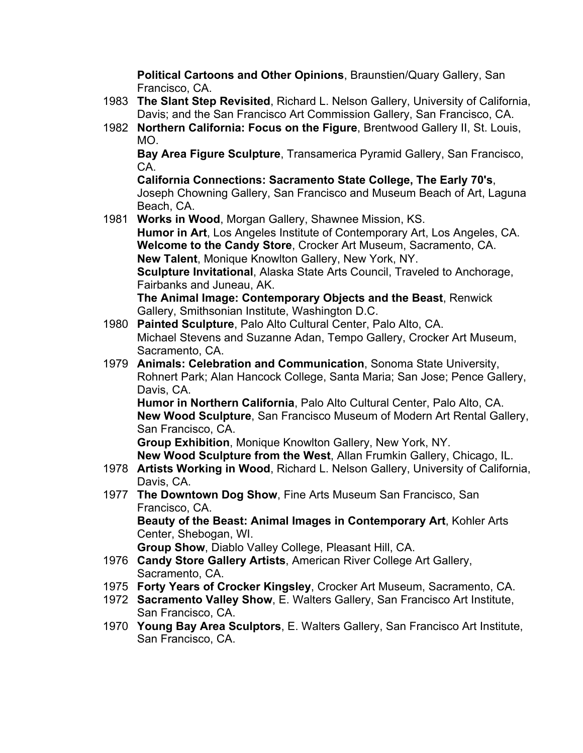**Political Cartoons and Other Opinions**, Braunstien/Quary Gallery, San Francisco, CA.

- 1983 **The Slant Step Revisited**, Richard L. Nelson Gallery, University of California, Davis; and the San Francisco Art Commission Gallery, San Francisco, CA.
- 1982 **Northern California: Focus on the Figure**, Brentwood Gallery II, St. Louis, MO.

**Bay Area Figure Sculpture**, Transamerica Pyramid Gallery, San Francisco, CA.

**California Connections: Sacramento State College, The Early 70's**, Joseph Chowning Gallery, San Francisco and Museum Beach of Art, Laguna Beach, CA.

1981 **Works in Wood**, Morgan Gallery, Shawnee Mission, KS.

**Humor in Art**, Los Angeles Institute of Contemporary Art, Los Angeles, CA. **Welcome to the Candy Store**, Crocker Art Museum, Sacramento, CA. **New Talent**, Monique Knowlton Gallery, New York, NY.

**Sculpture Invitational**, Alaska State Arts Council, Traveled to Anchorage, Fairbanks and Juneau, AK.

**The Animal Image: Contemporary Objects and the Beast**, Renwick Gallery, Smithsonian Institute, Washington D.C.

- 1980 **Painted Sculpture**, Palo Alto Cultural Center, Palo Alto, CA. Michael Stevens and Suzanne Adan, Tempo Gallery, Crocker Art Museum, Sacramento, CA.
- 1979 **Animals: Celebration and Communication**, Sonoma State University, Rohnert Park; Alan Hancock College, Santa Maria; San Jose; Pence Gallery, Davis, CA.

**Humor in Northern California**, Palo Alto Cultural Center, Palo Alto, CA. **New Wood Sculpture**, San Francisco Museum of Modern Art Rental Gallery, San Francisco, CA.

**Group Exhibition**, Monique Knowlton Gallery, New York, NY. **New Wood Sculpture from the West**, Allan Frumkin Gallery, Chicago, IL.

- 1978 **Artists Working in Wood**, Richard L. Nelson Gallery, University of California, Davis, CA.
- 1977 **The Downtown Dog Show**, Fine Arts Museum San Francisco, San Francisco, CA. **Beauty of the Beast: Animal Images in Contemporary Art**, Kohler Arts

Center, Shebogan, WI.

**Group Show**, Diablo Valley College, Pleasant Hill, CA.

- 1976 **Candy Store Gallery Artists**, American River College Art Gallery, Sacramento, CA.
- 1975 **Forty Years of Crocker Kingsley**, Crocker Art Museum, Sacramento, CA.
- 1972 **Sacramento Valley Show**, E. Walters Gallery, San Francisco Art Institute, San Francisco, CA.
- 1970 **Young Bay Area Sculptors**, E. Walters Gallery, San Francisco Art Institute, San Francisco, CA.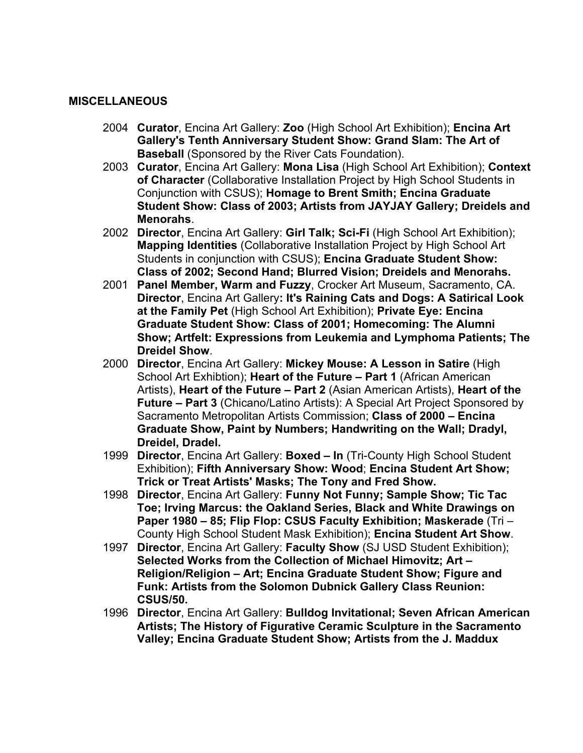#### **MISCELLANEOUS**

- 2004 **Curator**, Encina Art Gallery: **Zoo** (High School Art Exhibition); **Encina Art Gallery's Tenth Anniversary Student Show: Grand Slam: The Art of Baseball** (Sponsored by the River Cats Foundation).
- 2003 **Curator**, Encina Art Gallery: **Mona Lisa** (High School Art Exhibition); **Context of Character** (Collaborative Installation Project by High School Students in Conjunction with CSUS); **Homage to Brent Smith; Encina Graduate Student Show: Class of 2003; Artists from JAYJAY Gallery; Dreidels and Menorahs**.
- 2002 **Director**, Encina Art Gallery: **Girl Talk; Sci-Fi** (High School Art Exhibition); **Mapping Identities** (Collaborative Installation Project by High School Art Students in conjunction with CSUS); **Encina Graduate Student Show: Class of 2002; Second Hand; Blurred Vision; Dreidels and Menorahs.**
- 2001 **Panel Member, Warm and Fuzzy**, Crocker Art Museum, Sacramento, CA. **Director**, Encina Art Gallery**: It's Raining Cats and Dogs: A Satirical Look at the Family Pet** (High School Art Exhibition); **Private Eye: Encina Graduate Student Show: Class of 2001; Homecoming: The Alumni Show; Artfelt: Expressions from Leukemia and Lymphoma Patients; The Dreidel Show**.
- 2000 **Director**, Encina Art Gallery: **Mickey Mouse: A Lesson in Satire** (High School Art Exhibtion); **Heart of the Future – Part 1** (African American Artists), **Heart of the Future – Part 2** (Asian American Artists), **Heart of the Future – Part 3** (Chicano/Latino Artists): A Special Art Project Sponsored by Sacramento Metropolitan Artists Commission; **Class of 2000 – Encina Graduate Show, Paint by Numbers; Handwriting on the Wall; Dradyl, Dreidel, Dradel.**
- 1999 **Director**, Encina Art Gallery: **Boxed In** (Tri-County High School Student Exhibition); **Fifth Anniversary Show: Wood**; **Encina Student Art Show; Trick or Treat Artists' Masks; The Tony and Fred Show.**
- 1998 **Director**, Encina Art Gallery: **Funny Not Funny; Sample Show; Tic Tac Toe; Irving Marcus: the Oakland Series, Black and White Drawings on Paper 1980 – 85; Flip Flop: CSUS Faculty Exhibition; Maskerade** (Tri – County High School Student Mask Exhibition); **Encina Student Art Show**.
- 1997 **Director**, Encina Art Gallery: **Faculty Show** (SJ USD Student Exhibition); **Selected Works from the Collection of Michael Himovitz; Art – Religion/Religion – Art; Encina Graduate Student Show; Figure and Funk: Artists from the Solomon Dubnick Gallery Class Reunion: CSUS/50.**
- 1996 **Director**, Encina Art Gallery: **Bulldog Invitational; Seven African American Artists; The History of Figurative Ceramic Sculpture in the Sacramento Valley; Encina Graduate Student Show; Artists from the J. Maddux**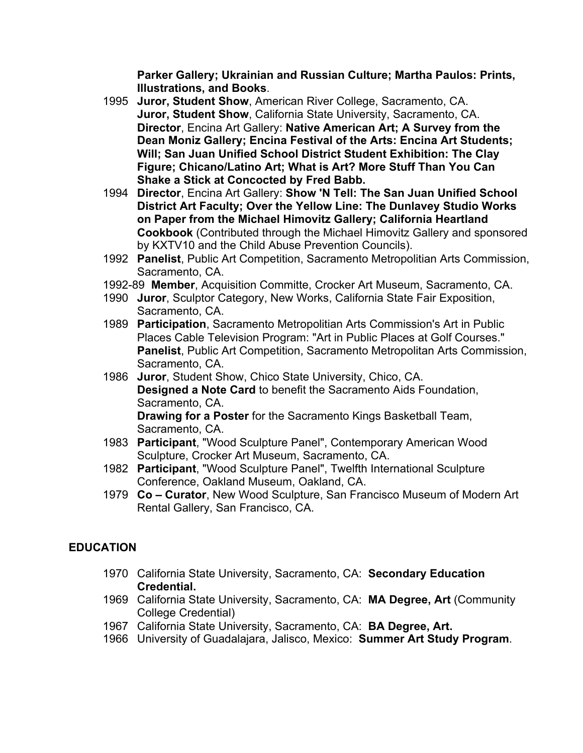**Parker Gallery; Ukrainian and Russian Culture; Martha Paulos: Prints, Illustrations, and Books**.

- 1995 **Juror, Student Show**, American River College, Sacramento, CA. **Juror, Student Show**, California State University, Sacramento, CA. **Director**, Encina Art Gallery: **Native American Art; A Survey from the Dean Moniz Gallery; Encina Festival of the Arts: Encina Art Students; Will; San Juan Unified School District Student Exhibition: The Clay Figure; Chicano/Latino Art; What is Art? More Stuff Than You Can Shake a Stick at Concocted by Fred Babb.**
- 1994 **Director**, Encina Art Gallery: **Show 'N Tell: The San Juan Unified School District Art Faculty; Over the Yellow Line: The Dunlavey Studio Works on Paper from the Michael Himovitz Gallery; California Heartland Cookbook** (Contributed through the Michael Himovitz Gallery and sponsored by KXTV10 and the Child Abuse Prevention Councils).
- 1992 **Panelist**, Public Art Competition, Sacramento Metropolitian Arts Commission, Sacramento, CA.
- 1992-89 **Member**, Acquisition Committe, Crocker Art Museum, Sacramento, CA.
- 1990 **Juror**, Sculptor Category, New Works, California State Fair Exposition, Sacramento, CA.
- 1989 **Participation**, Sacramento Metropolitian Arts Commission's Art in Public Places Cable Television Program: "Art in Public Places at Golf Courses." **Panelist**, Public Art Competition, Sacramento Metropolitan Arts Commission, Sacramento, CA.
- 1986 **Juror**, Student Show, Chico State University, Chico, CA. **Designed a Note Card** to benefit the Sacramento Aids Foundation, Sacramento, CA. **Drawing for a Poster** for the Sacramento Kings Basketball Team, Sacramento, CA.
- 1983 **Participant**, "Wood Sculpture Panel", Contemporary American Wood Sculpture, Crocker Art Museum, Sacramento, CA.
- 1982 **Participant**, "Wood Sculpture Panel", Twelfth International Sculpture Conference, Oakland Museum, Oakland, CA.
- 1979 **Co Curator**, New Wood Sculpture, San Francisco Museum of Modern Art Rental Gallery, San Francisco, CA.

## **EDUCATION**

- 1970 California State University, Sacramento, CA: **Secondary Education Credential.**
- 1969 California State University, Sacramento, CA: **MA Degree, Art** (Community College Credential)
- 1967 California State University, Sacramento, CA: **BA Degree, Art.**
- 1966 University of Guadalajara, Jalisco, Mexico: **Summer Art Study Program**.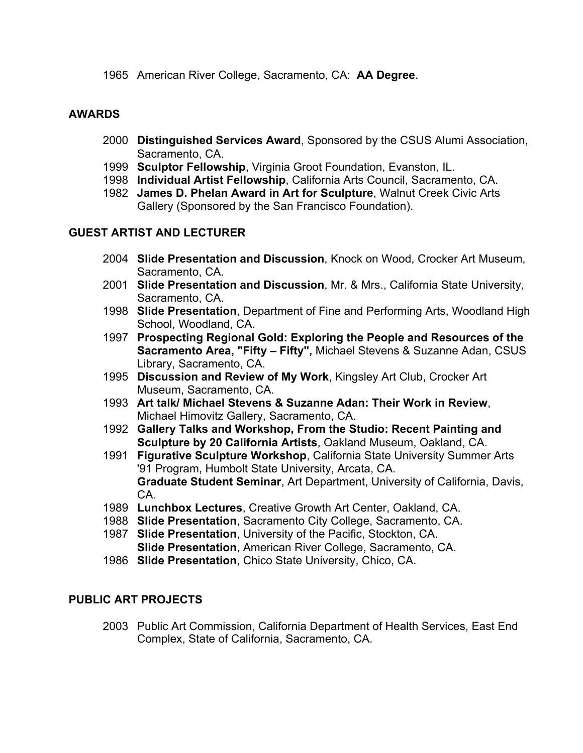1965 American River College, Sacramento, CA: **AA Degree**.

### **AWARDS**

- 2000 **Distinguished Services Award**, Sponsored by the CSUS Alumi Association, Sacramento, CA.
- 1999 **Sculptor Fellowship**, Virginia Groot Foundation, Evanston, IL.
- 1998 **Individual Artist Fellowship**, California Arts Council, Sacramento, CA.
- 1982 **James D. Phelan Award in Art for Sculpture**, Walnut Creek Civic Arts Gallery (Sponsored by the San Francisco Foundation).

## **GUEST ARTIST AND LECTURER**

- 2004 **Slide Presentation and Discussion**, Knock on Wood, Crocker Art Museum, Sacramento, CA.
- 2001 **Slide Presentation and Discussion**, Mr. & Mrs., California State University, Sacramento, CA.
- 1998 **Slide Presentation**, Department of Fine and Performing Arts, Woodland High School, Woodland, CA.
- 1997 **Prospecting Regional Gold: Exploring the People and Resources of the Sacramento Area, "Fifty – Fifty",** Michael Stevens & Suzanne Adan, CSUS Library, Sacramento, CA.
- 1995 **Discussion and Review of My Work**, Kingsley Art Club, Crocker Art Museum, Sacramento, CA.
- 1993 **Art talk/ Michael Stevens & Suzanne Adan: Their Work in Review**, Michael Himovitz Gallery, Sacramento, CA.
- 1992 **Gallery Talks and Workshop, From the Studio: Recent Painting and Sculpture by 20 California Artists**, Oakland Museum, Oakland, CA.
- 1991 **Figurative Sculpture Workshop**, California State University Summer Arts '91 Program, Humbolt State University, Arcata, CA. **Graduate Student Seminar**, Art Department, University of California, Davis, CA.
- 1989 **Lunchbox Lectures**, Creative Growth Art Center, Oakland, CA.
- 1988 **Slide Presentation**, Sacramento City College, Sacramento, CA.
- 1987 **Slide Presentation**, University of the Pacific, Stockton, CA. **Slide Presentation**, American River College, Sacramento, CA.
- 1986 **Slide Presentation**, Chico State University, Chico, CA.

### **PUBLIC ART PROJECTS**

2003 Public Art Commission, California Department of Health Services, East End Complex, State of California, Sacramento, CA.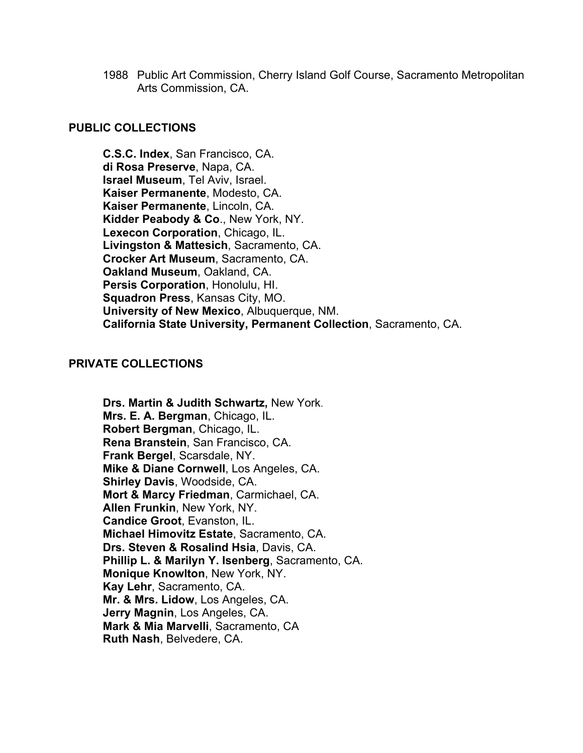1988 Public Art Commission, Cherry Island Golf Course, Sacramento Metropolitan Arts Commission, CA.

#### **PUBLIC COLLECTIONS**

**C.S.C. Index**, San Francisco, CA. **di Rosa Preserve**, Napa, CA. **Israel Museum**, Tel Aviv, Israel. **Kaiser Permanente**, Modesto, CA. **Kaiser Permanente**, Lincoln, CA. **Kidder Peabody & Co**., New York, NY. **Lexecon Corporation**, Chicago, IL. **Livingston & Mattesich**, Sacramento, CA. **Crocker Art Museum**, Sacramento, CA. **Oakland Museum**, Oakland, CA. **Persis Corporation**, Honolulu, HI. **Squadron Press**, Kansas City, MO. **University of New Mexico**, Albuquerque, NM. **California State University, Permanent Collection**, Sacramento, CA.

#### **PRIVATE COLLECTIONS**

**Drs. Martin & Judith Schwartz,** New York. **Mrs. E. A. Bergman**, Chicago, IL. **Robert Bergman**, Chicago, IL. **Rena Branstein**, San Francisco, CA. **Frank Bergel**, Scarsdale, NY. **Mike & Diane Cornwell**, Los Angeles, CA. **Shirley Davis**, Woodside, CA. **Mort & Marcy Friedman**, Carmichael, CA. **Allen Frunkin**, New York, NY. **Candice Groot**, Evanston, IL. **Michael Himovitz Estate**, Sacramento, CA. **Drs. Steven & Rosalind Hsia**, Davis, CA. **Phillip L. & Marilyn Y. Isenberg**, Sacramento, CA. **Monique Knowlton**, New York, NY. **Kay Lehr**, Sacramento, CA. **Mr. & Mrs. Lidow**, Los Angeles, CA. **Jerry Magnin**, Los Angeles, CA. **Mark & Mia Marvelli**, Sacramento, CA **Ruth Nash**, Belvedere, CA.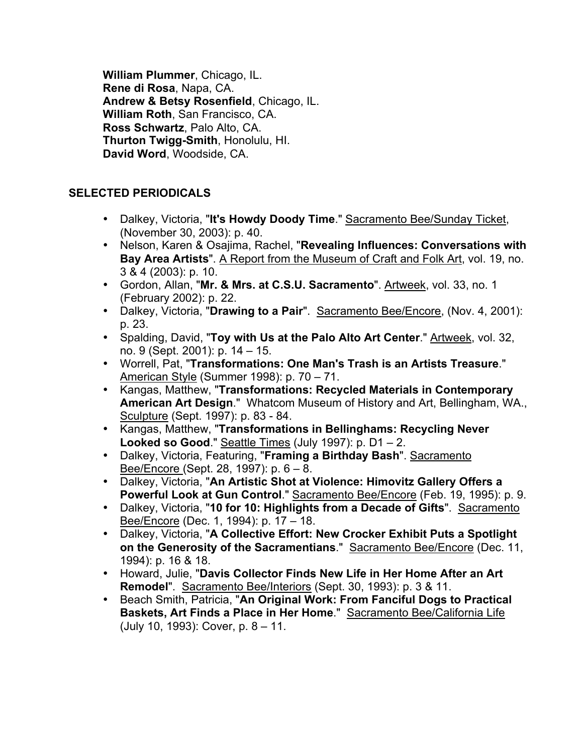**William Plummer**, Chicago, IL. **Rene di Rosa**, Napa, CA. **Andrew & Betsy Rosenfield**, Chicago, IL. **William Roth**, San Francisco, CA. **Ross Schwartz**, Palo Alto, CA. **Thurton Twigg-Smith**, Honolulu, HI. **David Word**, Woodside, CA.

# **SELECTED PERIODICALS**

- Dalkey, Victoria, "**It's Howdy Doody Time**." Sacramento Bee/Sunday Ticket, (November 30, 2003): p. 40.
- Nelson, Karen & Osajima, Rachel, "**Revealing Influences: Conversations with Bay Area Artists**". A Report from the Museum of Craft and Folk Art, vol. 19, no. 3 & 4 (2003): p. 10.
- Gordon, Allan, "**Mr. & Mrs. at C.S.U. Sacramento**". Artweek, vol. 33, no. 1 (February 2002): p. 22.
- Dalkey, Victoria, "**Drawing to a Pair**". Sacramento Bee/Encore, (Nov. 4, 2001): p. 23.
- Spalding, David, "**Toy with Us at the Palo Alto Art Center**." Artweek, vol. 32, no. 9 (Sept. 2001): p. 14 – 15.
- Worrell, Pat, "**Transformations: One Man's Trash is an Artists Treasure**." American Style (Summer 1998): p. 70 – 71.
- Kangas, Matthew, "**Transformations: Recycled Materials in Contemporary American Art Design**." Whatcom Museum of History and Art, Bellingham, WA., Sculpture (Sept. 1997): p. 83 - 84.
- Kangas, Matthew, "**Transformations in Bellinghams: Recycling Never Looked so Good**." Seattle Times (July 1997): p. D1 – 2.
- Dalkey, Victoria, Featuring, "**Framing a Birthday Bash**". Sacramento Bee/Encore (Sept. 28, 1997): p. 6 – 8.
- Dalkey, Victoria, "**An Artistic Shot at Violence: Himovitz Gallery Offers a Powerful Look at Gun Control**." Sacramento Bee/Encore (Feb. 19, 1995): p. 9.
- Dalkey, Victoria, "**10 for 10: Highlights from a Decade of Gifts**". Sacramento Bee/Encore (Dec. 1, 1994): p. 17 – 18.
- Dalkey, Victoria, "**A Collective Effort: New Crocker Exhibit Puts a Spotlight on the Generosity of the Sacramentians**." Sacramento Bee/Encore (Dec. 11, 1994): p. 16 & 18.
- Howard, Julie, "**Davis Collector Finds New Life in Her Home After an Art Remodel**". Sacramento Bee/Interiors (Sept. 30, 1993): p. 3 & 11.
- Beach Smith, Patricia, "**An Original Work: From Fanciful Dogs to Practical Baskets, Art Finds a Place in Her Home." Sacramento Bee/California Life** (July 10, 1993): Cover, p. 8 – 11.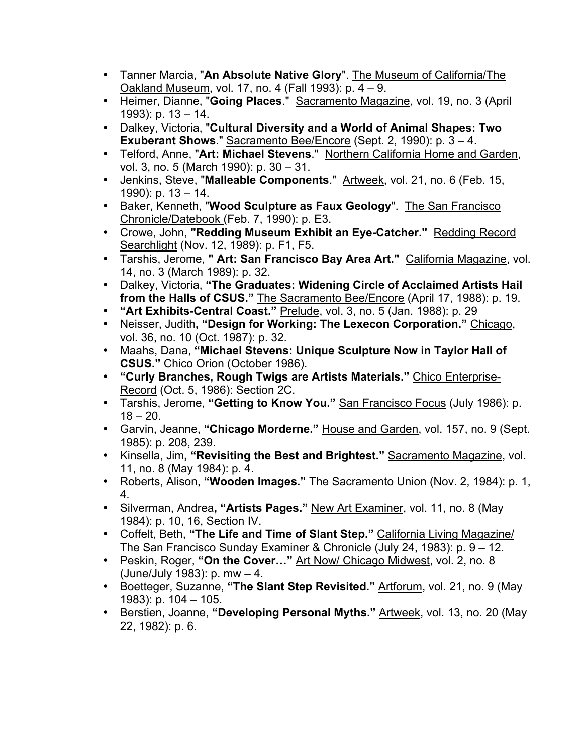- Tanner Marcia, "**An Absolute Native Glory**". The Museum of California/The Oakland Museum, vol. 17, no. 4 (Fall 1993): p. 4 – 9.
- Heimer, Dianne, "**Going Places**." Sacramento Magazine, vol. 19, no. 3 (April 1993): p. 13 – 14.
- Dalkey, Victoria, "**Cultural Diversity and a World of Animal Shapes: Two Exuberant Shows**." Sacramento Bee/Encore (Sept. 2, 1990): p. 3 – 4.
- Telford, Anne, "**Art: Michael Stevens**." Northern California Home and Garden, vol. 3, no. 5 (March 1990): p. 30 – 31.
- Jenkins, Steve, "**Malleable Components**." Artweek, vol. 21, no. 6 (Feb. 15, 1990): p. 13 – 14.
- Baker, Kenneth, "**Wood Sculpture as Faux Geology**". The San Francisco Chronicle/Datebook (Feb. 7, 1990): p. E3.
- Crowe, John, **"Redding Museum Exhibit an Eye-Catcher."** Redding Record Searchlight (Nov. 12, 1989): p. F1, F5.
- Tarshis, Jerome, **" Art: San Francisco Bay Area Art."** California Magazine, vol. 14, no. 3 (March 1989): p. 32.
- Dalkey, Victoria, **"The Graduates: Widening Circle of Acclaimed Artists Hail from the Halls of CSUS."** The Sacramento Bee/Encore (April 17, 1988): p. 19.
- **"Art Exhibits-Central Coast."** Prelude, vol. 3, no. 5 (Jan. 1988): p. 29
- Neisser, Judith**, "Design for Working: The Lexecon Corporation."** Chicago, vol. 36, no. 10 (Oct. 1987): p. 32.
- Maahs, Dana, **"Michael Stevens: Unique Sculpture Now in Taylor Hall of CSUS."** Chico Orion (October 1986).
- **"Curly Branches, Rough Twigs are Artists Materials."** Chico Enterprise-Record (Oct. 5, 1986): Section 2C.
- Tarshis, Jerome, **"Getting to Know You."** San Francisco Focus (July 1986): p.  $18 - 20.$
- Garvin, Jeanne, **"Chicago Morderne."** House and Garden, vol. 157, no. 9 (Sept. 1985): p. 208, 239.
- Kinsella, Jim**, "Revisiting the Best and Brightest."** Sacramento Magazine, vol. 11, no. 8 (May 1984): p. 4.
- Roberts, Alison, **"Wooden Images."** The Sacramento Union (Nov. 2, 1984): p. 1, 4.
- Silverman, Andrea**, "Artists Pages."** New Art Examiner, vol. 11, no. 8 (May 1984): p. 10, 16, Section IV.
- Coffelt, Beth, **"The Life and Time of Slant Step."** California Living Magazine/ The San Francisco Sunday Examiner & Chronicle (July 24, 1983): p. 9 – 12.
- Peskin, Roger, **"On the Cover…"** Art Now/ Chicago Midwest, vol. 2, no. 8 (June/July 1983): p. mw – 4.
- Boetteger, Suzanne, **"The Slant Step Revisited."** Artforum, vol. 21, no. 9 (May 1983): p. 104 – 105.
- Berstien, Joanne, **"Developing Personal Myths."** Artweek, vol. 13, no. 20 (May 22, 1982): p. 6.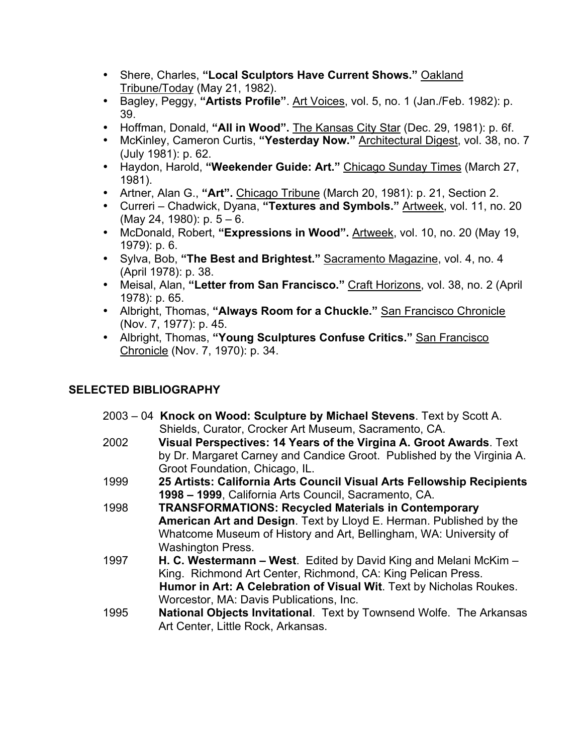- Shere, Charles, **"Local Sculptors Have Current Shows."** Oakland Tribune/Today (May 21, 1982).
- Bagley, Peggy, **"Artists Profile"**. Art Voices, vol. 5, no. 1 (Jan./Feb. 1982): p. 39.
- Hoffman, Donald, **"All in Wood".** The Kansas City Star (Dec. 29, 1981): p. 6f.
- McKinley, Cameron Curtis, **"Yesterday Now."** Architectural Digest, vol. 38, no. 7 (July 1981): p. 62.
- Haydon, Harold, **"Weekender Guide: Art."** Chicago Sunday Times (March 27, 1981).
- Artner, Alan G., **"Art".** Chicago Tribune (March 20, 1981): p. 21, Section 2.
- Curreri Chadwick, Dyana, **"Textures and Symbols."** Artweek, vol. 11, no. 20 (May 24, 1980):  $p. 5 - 6$ .
- McDonald, Robert, **"Expressions in Wood".** Artweek, vol. 10, no. 20 (May 19, 1979): p. 6.
- Sylva, Bob, **"The Best and Brightest."** Sacramento Magazine, vol. 4, no. 4 (April 1978): p. 38.
- Meisal, Alan, **"Letter from San Francisco."** Craft Horizons, vol. 38, no. 2 (April 1978): p. 65.
- Albright, Thomas, **"Always Room for a Chuckle."** San Francisco Chronicle (Nov. 7, 1977): p. 45.
- Albright, Thomas, **"Young Sculptures Confuse Critics."** San Francisco Chronicle (Nov. 7, 1970): p. 34.

# **SELECTED BIBLIOGRAPHY**

- 2003 04 **Knock on Wood: Sculpture by Michael Stevens**. Text by Scott A. Shields, Curator, Crocker Art Museum, Sacramento, CA.
- 2002 **Visual Perspectives: 14 Years of the Virgina A. Groot Awards**. Text by Dr. Margaret Carney and Candice Groot. Published by the Virginia A. Groot Foundation, Chicago, IL.
- 1999 **25 Artists: California Arts Council Visual Arts Fellowship Recipients 1998 – 1999**, California Arts Council, Sacramento, CA.
- 1998 **TRANSFORMATIONS: Recycled Materials in Contemporary American Art and Design**. Text by Lloyd E. Herman. Published by the Whatcome Museum of History and Art, Bellingham, WA: University of Washington Press.
- 1997 **H. C. Westermann West**. Edited by David King and Melani McKim King. Richmond Art Center, Richmond, CA: King Pelican Press. **Humor in Art: A Celebration of Visual Wit**. Text by Nicholas Roukes. Worcestor, MA: Davis Publications, Inc.
- 1995 **National Objects Invitational**. Text by Townsend Wolfe. The Arkansas Art Center, Little Rock, Arkansas.